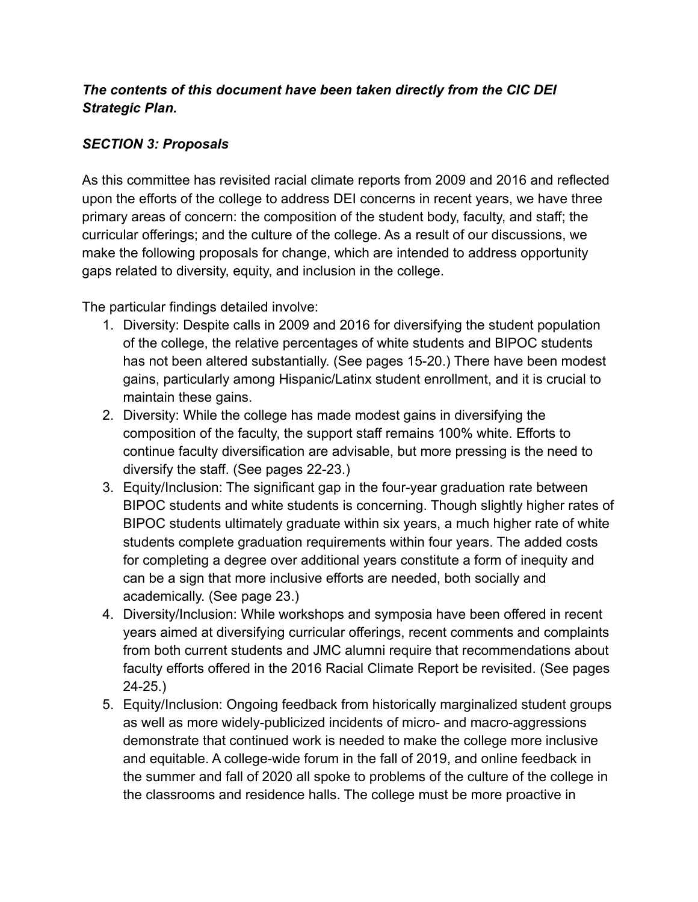# *The contents of this document have been taken directly from the CIC DEI Strategic Plan.*

# *SECTION 3: Proposals*

As this committee has revisited racial climate reports from 2009 and 2016 and reflected upon the efforts of the college to address DEI concerns in recent years, we have three primary areas of concern: the composition of the student body, faculty, and staff; the curricular offerings; and the culture of the college. As a result of our discussions, we make the following proposals for change, which are intended to address opportunity gaps related to diversity, equity, and inclusion in the college.

The particular findings detailed involve:

- 1. Diversity: Despite calls in 2009 and 2016 for diversifying the student population of the college, the relative percentages of white students and BIPOC students has not been altered substantially. (See pages 15-20.) There have been modest gains, particularly among Hispanic/Latinx student enrollment, and it is crucial to maintain these gains.
- 2. Diversity: While the college has made modest gains in diversifying the composition of the faculty, the support staff remains 100% white. Efforts to continue faculty diversification are advisable, but more pressing is the need to diversify the staff. (See pages 22-23.)
- 3. Equity/Inclusion: The significant gap in the four-year graduation rate between BIPOC students and white students is concerning. Though slightly higher rates of BIPOC students ultimately graduate within six years, a much higher rate of white students complete graduation requirements within four years. The added costs for completing a degree over additional years constitute a form of inequity and can be a sign that more inclusive efforts are needed, both socially and academically. (See page 23.)
- 4. Diversity/Inclusion: While workshops and symposia have been offered in recent years aimed at diversifying curricular offerings, recent comments and complaints from both current students and JMC alumni require that recommendations about faculty efforts offered in the 2016 Racial Climate Report be revisited. (See pages 24-25.)
- 5. Equity/Inclusion: Ongoing feedback from historically marginalized student groups as well as more widely-publicized incidents of micro- and macro-aggressions demonstrate that continued work is needed to make the college more inclusive and equitable. A college-wide forum in the fall of 2019, and online feedback in the summer and fall of 2020 all spoke to problems of the culture of the college in the classrooms and residence halls. The college must be more proactive in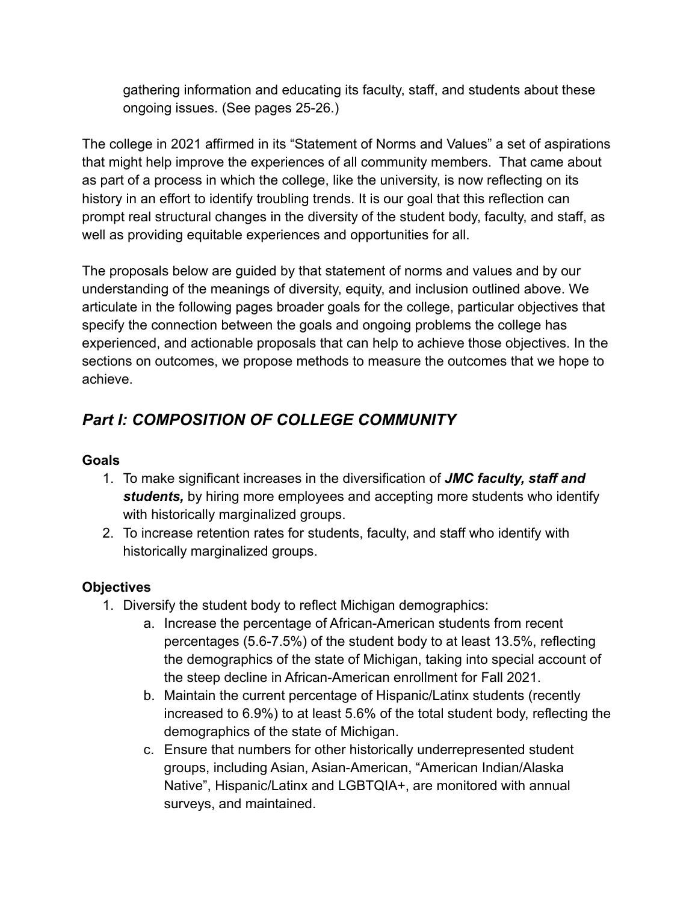gathering information and educating its faculty, staff, and students about these ongoing issues. (See pages 25-26.)

The college in 2021 affirmed in its "Statement of Norms and Values" a set of aspirations that might help improve the experiences of all community members. That came about as part of a process in which the college, like the university, is now reflecting on its history in an effort to identify troubling trends. It is our goal that this reflection can prompt real structural changes in the diversity of the student body, faculty, and staff, as well as providing equitable experiences and opportunities for all.

The proposals below are guided by that statement of norms and values and by our understanding of the meanings of diversity, equity, and inclusion outlined above. We articulate in the following pages broader goals for the college, particular objectives that specify the connection between the goals and ongoing problems the college has experienced, and actionable proposals that can help to achieve those objectives. In the sections on outcomes, we propose methods to measure the outcomes that we hope to achieve.

# *Part I: COMPOSITION OF COLLEGE COMMUNITY*

# **Goals**

- 1. To make significant increases in the diversification of *JMC faculty, staff and students,* by hiring more employees and accepting more students who identify with historically marginalized groups.
- 2. To increase retention rates for students, faculty, and staff who identify with historically marginalized groups.

#### **Objectives**

- 1. Diversify the student body to reflect Michigan demographics:
	- a. Increase the percentage of African-American students from recent percentages (5.6-7.5%) of the student body to at least 13.5%, reflecting the demographics of the state of Michigan, taking into special account of the steep decline in African-American enrollment for Fall 2021.
	- b. Maintain the current percentage of Hispanic/Latinx students (recently increased to 6.9%) to at least 5.6% of the total student body, reflecting the demographics of the state of Michigan.
	- c. Ensure that numbers for other historically underrepresented student groups, including Asian, Asian-American, "American Indian/Alaska Native", Hispanic/Latinx and LGBTQIA+, are monitored with annual surveys, and maintained.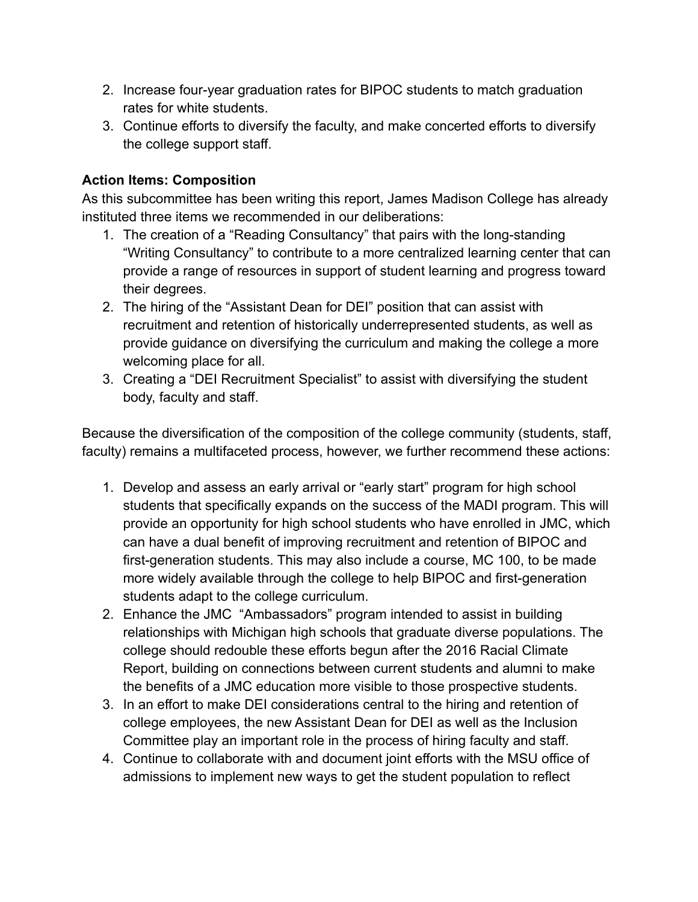- 2. Increase four-year graduation rates for BIPOC students to match graduation rates for white students.
- 3. Continue efforts to diversify the faculty, and make concerted efforts to diversify the college support staff.

# **Action Items: Composition**

As this subcommittee has been writing this report, James Madison College has already instituted three items we recommended in our deliberations:

- 1. The creation of a "Reading Consultancy" that pairs with the long-standing "Writing Consultancy" to contribute to a more centralized learning center that can provide a range of resources in support of student learning and progress toward their degrees.
- 2. The hiring of the "Assistant Dean for DEI" position that can assist with recruitment and retention of historically underrepresented students, as well as provide guidance on diversifying the curriculum and making the college a more welcoming place for all.
- 3. Creating a "DEI Recruitment Specialist" to assist with diversifying the student body, faculty and staff.

Because the diversification of the composition of the college community (students, staff, faculty) remains a multifaceted process, however, we further recommend these actions:

- 1. Develop and assess an early arrival or "early start" program for high school students that specifically expands on the success of the MADI program. This will provide an opportunity for high school students who have enrolled in JMC, which can have a dual benefit of improving recruitment and retention of BIPOC and first-generation students. This may also include a course, MC 100, to be made more widely available through the college to help BIPOC and first-generation students adapt to the college curriculum.
- 2. Enhance the JMC "Ambassadors" program intended to assist in building relationships with Michigan high schools that graduate diverse populations. The college should redouble these efforts begun after the 2016 Racial Climate Report, building on connections between current students and alumni to make the benefits of a JMC education more visible to those prospective students.
- 3. In an effort to make DEI considerations central to the hiring and retention of college employees, the new Assistant Dean for DEI as well as the Inclusion Committee play an important role in the process of hiring faculty and staff.
- 4. Continue to collaborate with and document joint efforts with the MSU office of admissions to implement new ways to get the student population to reflect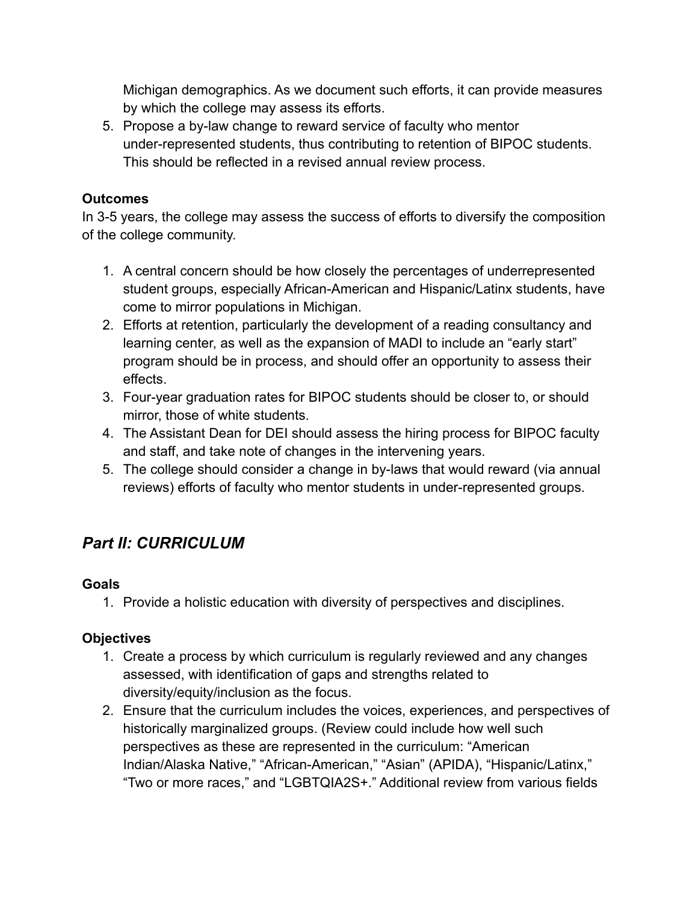Michigan demographics. As we document such efforts, it can provide measures by which the college may assess its efforts.

5. Propose a by-law change to reward service of faculty who mentor under-represented students, thus contributing to retention of BIPOC students. This should be reflected in a revised annual review process.

#### **Outcomes**

In 3-5 years, the college may assess the success of efforts to diversify the composition of the college community.

- 1. A central concern should be how closely the percentages of underrepresented student groups, especially African-American and Hispanic/Latinx students, have come to mirror populations in Michigan.
- 2. Efforts at retention, particularly the development of a reading consultancy and learning center, as well as the expansion of MADI to include an "early start" program should be in process, and should offer an opportunity to assess their effects.
- 3. Four-year graduation rates for BIPOC students should be closer to, or should mirror, those of white students.
- 4. The Assistant Dean for DEI should assess the hiring process for BIPOC faculty and staff, and take note of changes in the intervening years.
- 5. The college should consider a change in by-laws that would reward (via annual reviews) efforts of faculty who mentor students in under-represented groups.

# *Part II: CURRICULUM*

#### **Goals**

1. Provide a holistic education with diversity of perspectives and disciplines.

# **Objectives**

- 1. Create a process by which curriculum is regularly reviewed and any changes assessed, with identification of gaps and strengths related to diversity/equity/inclusion as the focus.
- 2. Ensure that the curriculum includes the voices, experiences, and perspectives of historically marginalized groups. (Review could include how well such perspectives as these are represented in the curriculum: "American Indian/Alaska Native," "African-American," "Asian" (APIDA), "Hispanic/Latinx," "Two or more races," and "LGBTQIA2S+." Additional review from various fields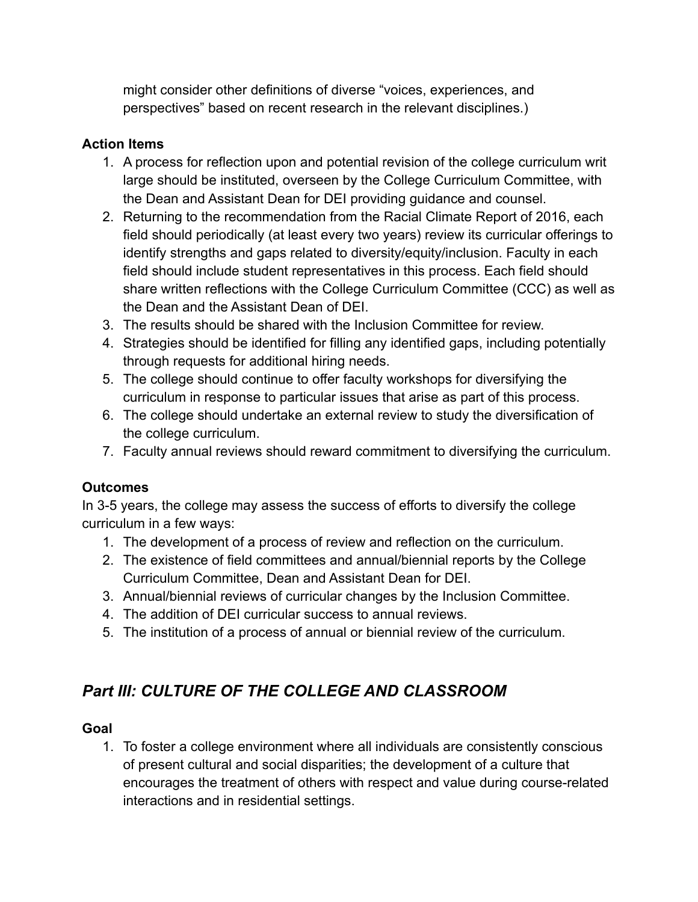might consider other definitions of diverse "voices, experiences, and perspectives" based on recent research in the relevant disciplines.)

# **Action Items**

- 1. A process for reflection upon and potential revision of the college curriculum writ large should be instituted, overseen by the College Curriculum Committee, with the Dean and Assistant Dean for DEI providing guidance and counsel.
- 2. Returning to the recommendation from the Racial Climate Report of 2016, each field should periodically (at least every two years) review its curricular offerings to identify strengths and gaps related to diversity/equity/inclusion. Faculty in each field should include student representatives in this process. Each field should share written reflections with the College Curriculum Committee (CCC) as well as the Dean and the Assistant Dean of DEI.
- 3. The results should be shared with the Inclusion Committee for review.
- 4. Strategies should be identified for filling any identified gaps, including potentially through requests for additional hiring needs.
- 5. The college should continue to offer faculty workshops for diversifying the curriculum in response to particular issues that arise as part of this process.
- 6. The college should undertake an external review to study the diversification of the college curriculum.
- 7. Faculty annual reviews should reward commitment to diversifying the curriculum.

# **Outcomes**

In 3-5 years, the college may assess the success of efforts to diversify the college curriculum in a few ways:

- 1. The development of a process of review and reflection on the curriculum.
- 2. The existence of field committees and annual/biennial reports by the College Curriculum Committee, Dean and Assistant Dean for DEI.
- 3. Annual/biennial reviews of curricular changes by the Inclusion Committee.
- 4. The addition of DEI curricular success to annual reviews.
- 5. The institution of a process of annual or biennial review of the curriculum.

# *Part III: CULTURE OF THE COLLEGE AND CLASSROOM*

# **Goal**

1. To foster a college environment where all individuals are consistently conscious of present cultural and social disparities; the development of a culture that encourages the treatment of others with respect and value during course-related interactions and in residential settings.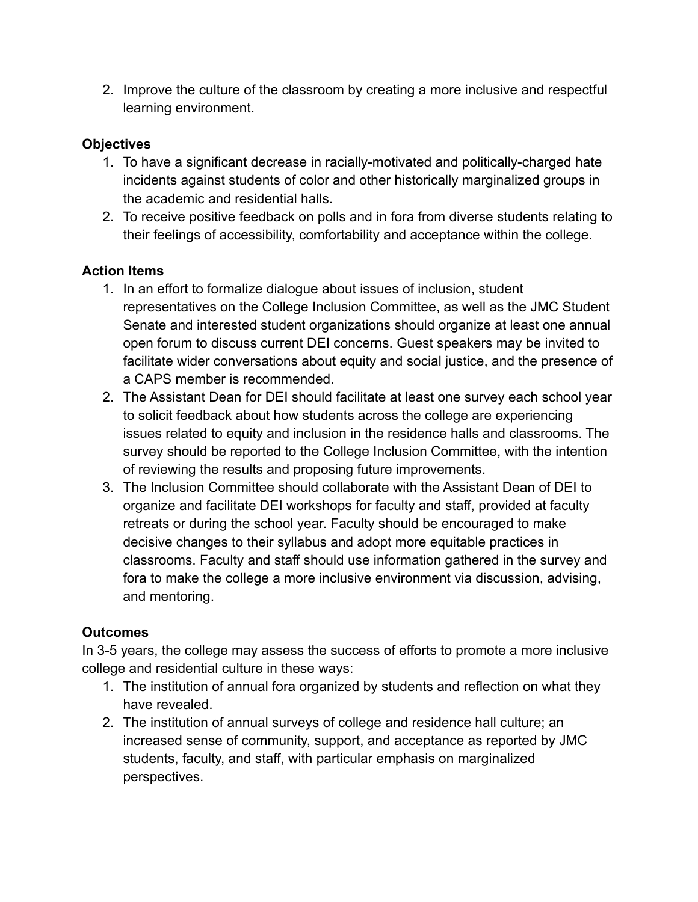2. Improve the culture of the classroom by creating a more inclusive and respectful learning environment.

#### **Objectives**

- 1. To have a significant decrease in racially-motivated and politically-charged hate incidents against students of color and other historically marginalized groups in the academic and residential halls.
- 2. To receive positive feedback on polls and in fora from diverse students relating to their feelings of accessibility, comfortability and acceptance within the college.

#### **Action Items**

- 1. In an effort to formalize dialogue about issues of inclusion, student representatives on the College Inclusion Committee, as well as the JMC Student Senate and interested student organizations should organize at least one annual open forum to discuss current DEI concerns. Guest speakers may be invited to facilitate wider conversations about equity and social justice, and the presence of a CAPS member is recommended.
- 2. The Assistant Dean for DEI should facilitate at least one survey each school year to solicit feedback about how students across the college are experiencing issues related to equity and inclusion in the residence halls and classrooms. The survey should be reported to the College Inclusion Committee, with the intention of reviewing the results and proposing future improvements.
- 3. The Inclusion Committee should collaborate with the Assistant Dean of DEI to organize and facilitate DEI workshops for faculty and staff, provided at faculty retreats or during the school year. Faculty should be encouraged to make decisive changes to their syllabus and adopt more equitable practices in classrooms. Faculty and staff should use information gathered in the survey and fora to make the college a more inclusive environment via discussion, advising, and mentoring.

#### **Outcomes**

In 3-5 years, the college may assess the success of efforts to promote a more inclusive college and residential culture in these ways:

- 1. The institution of annual fora organized by students and reflection on what they have revealed.
- 2. The institution of annual surveys of college and residence hall culture; an increased sense of community, support, and acceptance as reported by JMC students, faculty, and staff, with particular emphasis on marginalized perspectives.